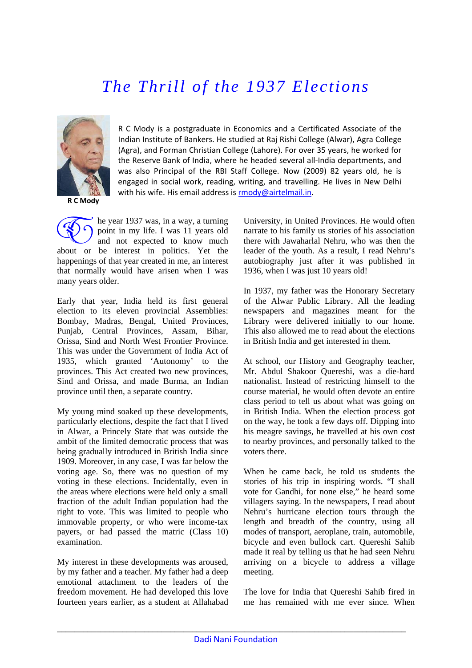## *The Thrill of the 1937 Elections*



R C Mody is a postgraduate in Economics and a Certificated Associate of the Indian Institute of Bankers. He studied at Raj Rishi College (Alwar), Agra College (Agra), and Forman Christian College (Lahore). For over 35 years, he worked for the Reserve Bank of India, where he headed several all‐India departments, and was also Principal of the RBI Staff College. Now (2009) 82 years old, he is engaged in social work, reading, writing, and travelling. He lives in New Delhi with his wife. His email address is [rmody@airtelmail.in](mailto:rmody@airtelmail.in).

**R C Mody**

he year 1937 was, in a way, a turning point in my life. I was 11 years old and not expected to know much The year 1937 was, in a way, a turning<br>point in my life. I was 11 years old<br>and not expected to know much<br>about or be interest in politics. Yet the happenings of that year created in me, an interest that normally would have arisen when I was many years older.

Early that year, India held its first general election to its eleven provincial Assemblies: Bombay, Madras, Bengal, United Provinces, Punjab, Central Provinces, Assam, Bihar, Orissa, Sind and North West Frontier Province. This was under the Government of India Act of 1935, which granted 'Autonomy' to the provinces. This Act created two new provinces, Sind and Orissa, and made Burma, an Indian province until then, a separate country.

My young mind soaked up these developments, particularly elections, despite the fact that I lived in Alwar, a Princely State that was outside the ambit of the limited democratic process that was being gradually introduced in British India since 1909. Moreover, in any case, I was far below the voting age. So, there was no question of my voting in these elections. Incidentally, even in the areas where elections were held only a small fraction of the adult Indian population had the right to vote. This was limited to people who immovable property, or who were income-tax payers, or had passed the matric (Class 10) examination.

My interest in these developments was aroused, by my father and a teacher. My father had a deep emotional attachment to the leaders of the freedom movement. He had developed this love fourteen years earlier, as a student at Allahabad University, in United Provinces. He would often narrate to his family us stories of his association there with Jawaharlal Nehru, who was then the leader of the youth. As a result, I read Nehru's autobiography just after it was published in 1936, when I was just 10 years old!

In 1937, my father was the Honorary Secretary of the Alwar Public Library. All the leading newspapers and magazines meant for the Library were delivered initially to our home. This also allowed me to read about the elections in British India and get interested in them.

At school, our History and Geography teacher, Mr. Abdul Shakoor Quereshi, was a die-hard nationalist. Instead of restricting himself to the course material, he would often devote an entire class period to tell us about what was going on in British India. When the election process got on the way, he took a few days off. Dipping into his meagre savings, he travelled at his own cost to nearby provinces, and personally talked to the voters there.

When he came back, he told us students the stories of his trip in inspiring words. "I shall vote for Gandhi, for none else," he heard some villagers saying. In the newspapers, I read about Nehru's hurricane election tours through the length and breadth of the country, using all modes of transport, aeroplane, train, automobile, bicycle and even bullock cart. Quereshi Sahib made it real by telling us that he had seen Nehru arriving on a bicycle to address a village meeting.

The love for India that Quereshi Sahib fired in me has remained with me ever since. When

\_\_\_\_\_\_\_\_\_\_\_\_\_\_\_\_\_\_\_\_\_\_\_\_\_\_\_\_\_\_\_\_\_\_\_\_\_\_\_\_\_\_\_\_\_\_\_\_\_\_\_\_\_\_\_\_\_\_\_\_\_\_\_\_\_\_\_\_\_\_\_\_\_\_\_\_\_\_\_\_